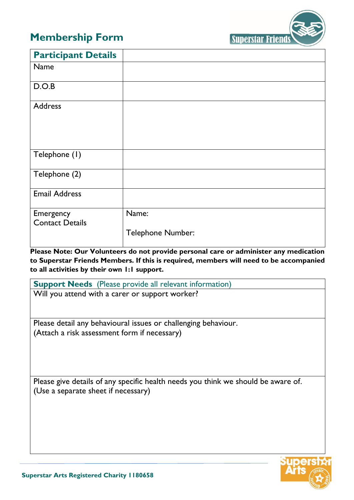## **Membership Form**



| <b>Participant Details</b>          |                            |
|-------------------------------------|----------------------------|
| Name                                |                            |
| D.O.B                               |                            |
| <b>Address</b>                      |                            |
| Telephone (1)                       |                            |
| Telephone (2)                       |                            |
| <b>Email Address</b>                |                            |
| Emergency<br><b>Contact Details</b> | Name:<br>Telephone Number: |

**Please Note: Our Volunteers do not provide personal care or administer any medication to Superstar Friends Members. If this is required, members will need to be accompanied to all activities by their own 1:1 support.**

**Support Needs** (Please provide all relevant information)

Will you attend with a carer or support worker?

Please detail any behavioural issues or challenging behaviour. (Attach a risk assessment form if necessary)

Please give details of any specific health needs you think we should be aware of. (Use a separate sheet if necessary)